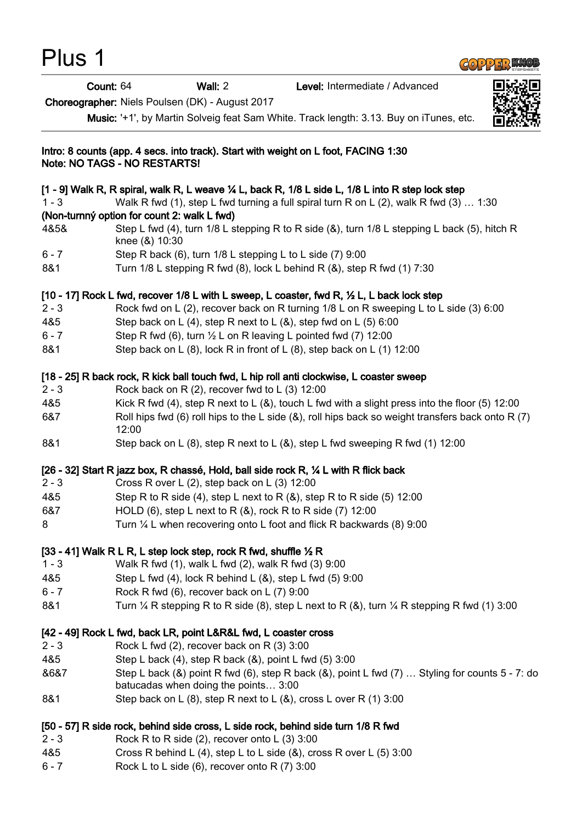| Plus 1  |                              |                                                                                                                                            |                                                                                                                   |  |
|---------|------------------------------|--------------------------------------------------------------------------------------------------------------------------------------------|-------------------------------------------------------------------------------------------------------------------|--|
|         | Count: 64                    | Wall: $2$                                                                                                                                  | Level: Intermediate / Advanced                                                                                    |  |
|         |                              | Choreographer: Niels Poulsen (DK) - August 2017                                                                                            |                                                                                                                   |  |
|         |                              |                                                                                                                                            | Music: '+1', by Martin Solveig feat Sam White. Track length: 3.13. Buy on iTunes, etc.                            |  |
|         | Note: NO TAGS - NO RESTARTS! | Intro: 8 counts (app. 4 secs. into track). Start with weight on L foot, FACING 1:30                                                        |                                                                                                                   |  |
|         |                              |                                                                                                                                            | [1 - 9] Walk R, R spiral, walk R, L weave ¼ L, back R, 1/8 L side L, 1/8 L into R step lock step                  |  |
| $1 - 3$ |                              |                                                                                                                                            | Walk R fwd (1), step L fwd turning a full spiral turn R on L (2), walk R fwd (3) $\dots$ 1:30                     |  |
|         |                              | (Non-turnný option for count 2: walk L fwd)                                                                                                |                                                                                                                   |  |
| 4&5&    | knee (&) 10:30               |                                                                                                                                            | Step L fwd (4), turn 1/8 L stepping R to R side (&), turn 1/8 L stepping L back (5), hitch R                      |  |
| $6 - 7$ |                              | Step R back (6), turn 1/8 L stepping L to L side (7) 9:00                                                                                  |                                                                                                                   |  |
| 8&1     |                              |                                                                                                                                            | Turn 1/8 L stepping R fwd (8), lock L behind R (&), step R fwd (1) 7:30                                           |  |
|         |                              |                                                                                                                                            | [10 - 17] Rock L fwd, recover 1/8 L with L sweep, L coaster, fwd R, 1/2 L, L back lock step                       |  |
| $2 - 3$ |                              |                                                                                                                                            | Rock fwd on L (2), recover back on R turning 1/8 L on R sweeping L to L side (3) 6:00                             |  |
| 4&5     |                              | Step back on L (4), step R next to L (&), step fwd on L (5) 6:00                                                                           |                                                                                                                   |  |
| $6 - 7$ |                              | Step R fwd (6), turn $\frac{1}{2}$ L on R leaving L pointed fwd (7) 12:00                                                                  |                                                                                                                   |  |
| 8&1     |                              |                                                                                                                                            | Step back on L (8), lock R in front of L (8), step back on L (1) 12:00                                            |  |
|         |                              |                                                                                                                                            | [18 - 25] R back rock, R kick ball touch fwd, L hip roll anti clockwise, L coaster sweep                          |  |
| $2 - 3$ |                              | Rock back on R $(2)$ , recover fwd to L $(3)$ 12:00                                                                                        |                                                                                                                   |  |
| 4&5     |                              |                                                                                                                                            | Kick R fwd (4), step R next to L ( $\&$ ), touch L fwd with a slight press into the floor (5) 12:00               |  |
| 6&7     | 12:00                        |                                                                                                                                            | Roll hips fwd (6) roll hips to the L side ( $\&$ ), roll hips back so weight transfers back onto R (7)            |  |
| 8&1     |                              |                                                                                                                                            | Step back on L (8), step R next to L (&), step L fwd sweeping R fwd (1) 12:00                                     |  |
| $2 - 3$ |                              | [26 - 32] Start R jazz box, R chassé, Hold, ball side rock R, 1/4 L with R flick back<br>Cross R over L $(2)$ , step back on L $(3)$ 12:00 |                                                                                                                   |  |
| 4&5     |                              |                                                                                                                                            | Step R to R side (4), step L next to R $(8)$ , step R to R side (5) 12:00                                         |  |
| 6&7     |                              | HOLD (6), step L next to R $(8)$ , rock R to R side (7) 12:00                                                                              |                                                                                                                   |  |
| 8       |                              |                                                                                                                                            | Turn 1/4 L when recovering onto L foot and flick R backwards (8) 9:00                                             |  |
|         |                              | [33 - 41] Walk R L R, L step lock step, rock R fwd, shuffle $\frac{1}{2}$ R                                                                |                                                                                                                   |  |
| $1 - 3$ |                              | Walk R fwd (1), walk L fwd (2), walk R fwd (3) 9:00                                                                                        |                                                                                                                   |  |
| 4&5     |                              | Step L fwd $(4)$ , lock R behind L $(8)$ , step L fwd $(5)$ 9:00                                                                           |                                                                                                                   |  |
| $6 - 7$ |                              | Rock R fwd (6), recover back on L (7) 9:00                                                                                                 |                                                                                                                   |  |
| 8&1     |                              |                                                                                                                                            | Turn $\frac{1}{4}$ R stepping R to R side (8), step L next to R (&), turn $\frac{1}{4}$ R stepping R fwd (1) 3:00 |  |
|         |                              | [42 - 49] Rock L fwd, back LR, point L&R&L fwd, L coaster cross                                                                            |                                                                                                                   |  |
| $2 - 3$ |                              | Rock L fwd (2), recover back on R (3) 3:00                                                                                                 |                                                                                                                   |  |
| 4&5     |                              | Step L back (4), step R back (&), point L fwd (5) 3:00                                                                                     |                                                                                                                   |  |
| &6&7    |                              | batucadas when doing the points 3:00                                                                                                       | Step L back (&) point R fwd (6), step R back (&), point L fwd (7)  Styling for counts 5 - 7: do                   |  |
| 8&1     |                              | Step back on L $(8)$ , step R next to L $(8)$ , cross L over R $(1)$ 3:00                                                                  |                                                                                                                   |  |
|         |                              | [50 - 57] R side rock, behind side cross, L side rock, behind side turn 1/8 R fwd                                                          |                                                                                                                   |  |
| $2 - 3$ |                              | Rock R to R side $(2)$ , recover onto L $(3)$ 3:00                                                                                         |                                                                                                                   |  |
| 4&5     |                              | Cross R behind L (4), step L to L side $(8)$ , cross R over L (5) 3:00                                                                     |                                                                                                                   |  |
| $6 - 7$ |                              | Rock L to L side (6), recover onto R (7) 3:00                                                                                              |                                                                                                                   |  |